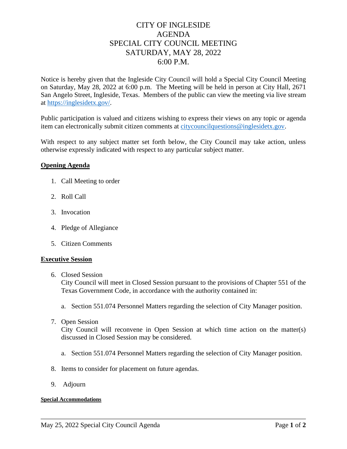# CITY OF INGLESIDE AGENDA SPECIAL CITY COUNCIL MEETING SATURDAY, MAY 28, 2022 6:00 P.M.

Notice is hereby given that the Ingleside City Council will hold a Special City Council Meeting on Saturday, May 28, 2022 at 6:00 p.m. The Meeting will be held in person at City Hall, 2671 San Angelo Street, Ingleside, Texas. Members of the public can view the meeting via live stream at [https://inglesidetx.gov/.](https://inglesidetx.gov/)

Public participation is valued and citizens wishing to express their views on any topic or agenda item can electronically submit citizen comments at [citycouncilquestions@inglesidetx.gov.](mailto:citycouncilquestions@inglesidetx.gov)

With respect to any subject matter set forth below, the City Council may take action, unless otherwise expressly indicated with respect to any particular subject matter.

# **Opening Agenda**

- 1. Call Meeting to order
- 2. Roll Call
- 3. Invocation
- 4. Pledge of Allegiance
- 5. Citizen Comments

### **Executive Session**

6. Closed Session

City Council will meet in Closed Session pursuant to the provisions of Chapter 551 of the Texas Government Code, in accordance with the authority contained in:

- a. Section 551.074 Personnel Matters regarding the selection of City Manager position.
- 7. Open Session

City Council will reconvene in Open Session at which time action on the matter(s) discussed in Closed Session may be considered.

- a. Section 551.074 Personnel Matters regarding the selection of City Manager position.
- 8. Items to consider for placement on future agendas.
- 9. Adjourn

#### **Special Accommodations**